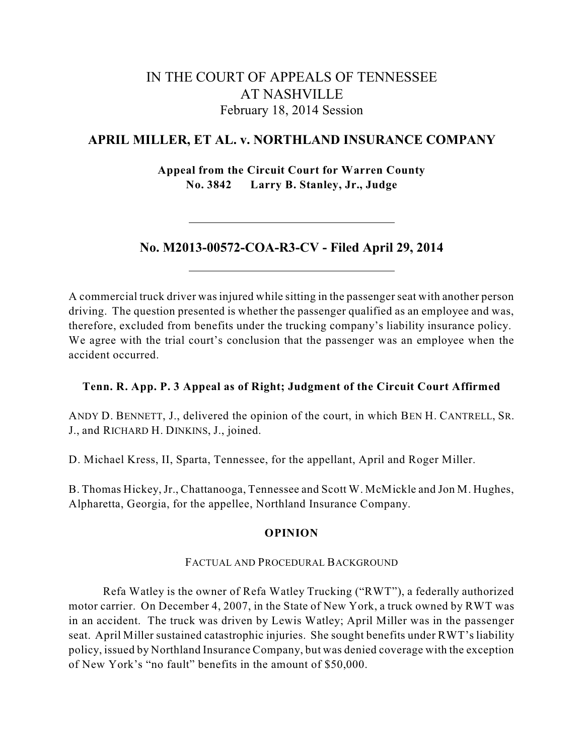# IN THE COURT OF APPEALS OF TENNESSEE AT NASHVILLE February 18, 2014 Session

# **APRIL MILLER, ET AL. v. NORTHLAND INSURANCE COMPANY**

**Appeal from the Circuit Court for Warren County No. 3842 Larry B. Stanley, Jr., Judge**

# **No. M2013-00572-COA-R3-CV - Filed April 29, 2014**

A commercial truck driver wasinjured while sitting in the passenger seat with another person driving. The question presented is whether the passenger qualified as an employee and was, therefore, excluded from benefits under the trucking company's liability insurance policy. We agree with the trial court's conclusion that the passenger was an employee when the accident occurred.

## **Tenn. R. App. P. 3 Appeal as of Right; Judgment of the Circuit Court Affirmed**

ANDY D. BENNETT, J., delivered the opinion of the court, in which BEN H. CANTRELL, SR. J., and RICHARD H. DINKINS, J., joined.

D. Michael Kress, II, Sparta, Tennessee, for the appellant, April and Roger Miller.

B. Thomas Hickey,Jr., Chattanooga, Tennessee and Scott W. McMickle and Jon M. Hughes, Alpharetta, Georgia, for the appellee, Northland Insurance Company.

### **OPINION**

## FACTUAL AND PROCEDURAL BACKGROUND

Refa Watley is the owner of Refa Watley Trucking ("RWT"), a federally authorized motor carrier. On December 4, 2007, in the State of New York, a truck owned by RWT was in an accident. The truck was driven by Lewis Watley; April Miller was in the passenger seat. April Miller sustained catastrophic injuries. She sought benefits under RWT's liability policy, issued by Northland Insurance Company, but was denied coverage with the exception of New York's "no fault" benefits in the amount of \$50,000.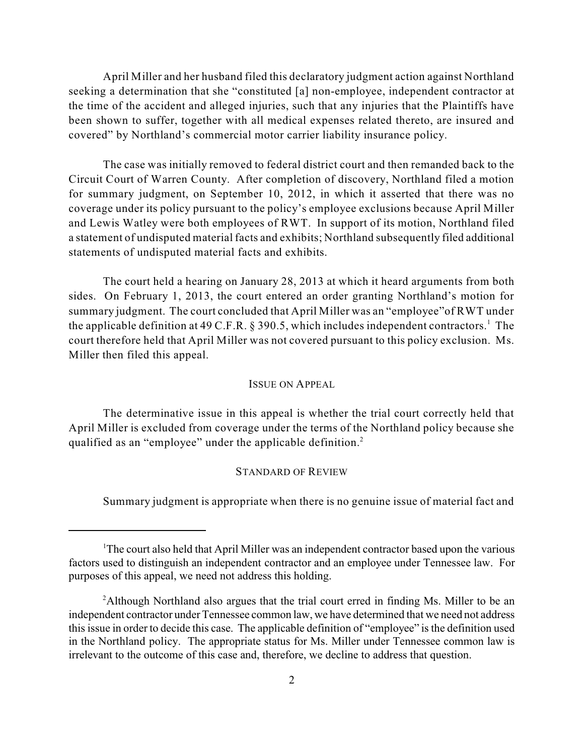April Miller and her husband filed this declaratory judgment action against Northland seeking a determination that she "constituted [a] non-employee, independent contractor at the time of the accident and alleged injuries, such that any injuries that the Plaintiffs have been shown to suffer, together with all medical expenses related thereto, are insured and covered" by Northland's commercial motor carrier liability insurance policy.

The case was initially removed to federal district court and then remanded back to the Circuit Court of Warren County. After completion of discovery, Northland filed a motion for summary judgment, on September 10, 2012, in which it asserted that there was no coverage under its policy pursuant to the policy's employee exclusions because April Miller and Lewis Watley were both employees of RWT. In support of its motion, Northland filed a statement of undisputed material facts and exhibits; Northland subsequently filed additional statements of undisputed material facts and exhibits.

The court held a hearing on January 28, 2013 at which it heard arguments from both sides. On February 1, 2013, the court entered an order granting Northland's motion for summary judgment. The court concluded that April Miller was an "employee"of RWT under the applicable definition at 49 C.F.R. § 390.5, which includes independent contractors.<sup>1</sup> The court therefore held that April Miller was not covered pursuant to this policy exclusion. Ms. Miller then filed this appeal.

### ISSUE ON APPEAL

The determinative issue in this appeal is whether the trial court correctly held that April Miller is excluded from coverage under the terms of the Northland policy because she qualified as an "employee" under the applicable definition.<sup>2</sup>

### STANDARD OF REVIEW

Summary judgment is appropriate when there is no genuine issue of material fact and

<sup>&</sup>lt;sup>1</sup>The court also held that April Miller was an independent contractor based upon the various factors used to distinguish an independent contractor and an employee under Tennessee law. For purposes of this appeal, we need not address this holding.

<sup>&</sup>lt;sup>2</sup>Although Northland also argues that the trial court erred in finding Ms. Miller to be an independent contractor under Tennessee common law, we have determined that we need not address this issue in order to decide this case. The applicable definition of "employee" is the definition used in the Northland policy. The appropriate status for Ms. Miller under Tennessee common law is irrelevant to the outcome of this case and, therefore, we decline to address that question.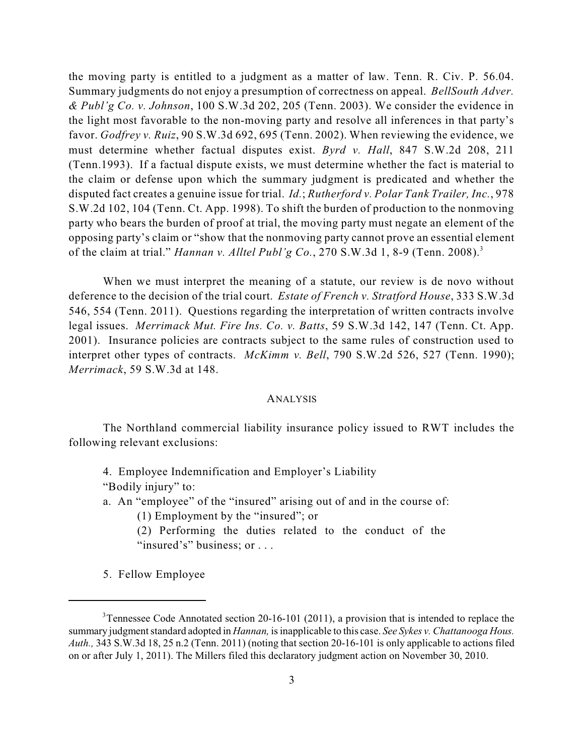the moving party is entitled to a judgment as a matter of law. Tenn. R. Civ. P. 56.04. Summary judgments do not enjoy a presumption of correctness on appeal. *BellSouth Adver. & Publ'g Co. v. Johnson*, 100 S.W.3d 202, 205 (Tenn. 2003). We consider the evidence in the light most favorable to the non-moving party and resolve all inferences in that party's favor. *Godfrey v. Ruiz*, 90 S.W.3d 692, 695 (Tenn. 2002). When reviewing the evidence, we must determine whether factual disputes exist. *Byrd v. Hall*, 847 S.W.2d 208, 211 (Tenn.1993). If a factual dispute exists, we must determine whether the fact is material to the claim or defense upon which the summary judgment is predicated and whether the disputed fact creates a genuine issue for trial. *Id.*; *Rutherford v. Polar Tank Trailer, Inc.*, 978 S.W.2d 102, 104 (Tenn. Ct. App. 1998). To shift the burden of production to the nonmoving party who bears the burden of proof at trial, the moving party must negate an element of the opposing party's claim or "show that the nonmoving party cannot prove an essential element of the claim at trial." *Hannan v. Alltel Publ'g Co.*, 270 S.W.3d 1, 8-9 (Tenn. 2008). 3

When we must interpret the meaning of a statute, our review is de novo without deference to the decision of the trial court. *Estate of French v. Stratford House*, 333 S.W.3d 546, 554 (Tenn. 2011). Questions regarding the interpretation of written contracts involve legal issues. *Merrimack Mut. Fire Ins. Co. v. Batts*, 59 S.W.3d 142, 147 (Tenn. Ct. App. 2001). Insurance policies are contracts subject to the same rules of construction used to interpret other types of contracts. *McKimm v. Bell*, 790 S.W.2d 526, 527 (Tenn. 1990); *Merrimack*, 59 S.W.3d at 148.

#### ANALYSIS

The Northland commercial liability insurance policy issued to RWT includes the following relevant exclusions:

4. Employee Indemnification and Employer's Liability "Bodily injury" to:

a. An "employee" of the "insured" arising out of and in the course of:

(1) Employment by the "insured"; or

(2) Performing the duties related to the conduct of the "insured's" business; or . . .

5. Fellow Employee

<sup>&</sup>lt;sup>3</sup> Tennessee Code Annotated section 20-16-101 (2011), a provision that is intended to replace the summary judgment standard adopted in *Hannan*, is inapplicable to this case. *See Sykes v. Chattanooga Hous. Auth.,* 343 S.W.3d 18, 25 n.2 (Tenn. 2011) (noting that section 20-16-101 is only applicable to actions filed on or after July 1, 2011). The Millers filed this declaratory judgment action on November 30, 2010.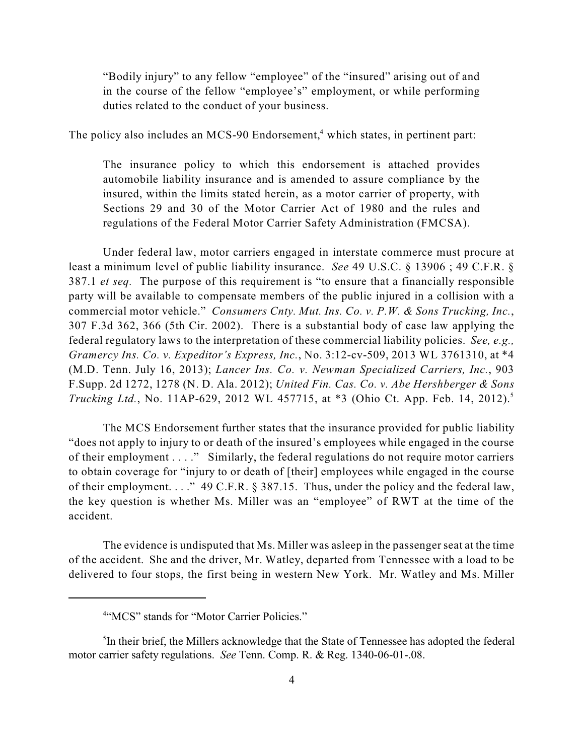"Bodily injury" to any fellow "employee" of the "insured" arising out of and in the course of the fellow "employee's" employment, or while performing duties related to the conduct of your business.

The policy also includes an MCS-90 Endorsement,<sup>4</sup> which states, in pertinent part:

The insurance policy to which this endorsement is attached provides automobile liability insurance and is amended to assure compliance by the insured, within the limits stated herein, as a motor carrier of property, with Sections 29 and 30 of the Motor Carrier Act of 1980 and the rules and regulations of the Federal Motor Carrier Safety Administration (FMCSA).

Under federal law, motor carriers engaged in interstate commerce must procure at least a minimum level of public liability insurance. *See* 49 U.S.C. § 13906 ; 49 C.F.R. § 387.1 *et seq.* The purpose of this requirement is "to ensure that a financially responsible party will be available to compensate members of the public injured in a collision with a commercial motor vehicle." *Consumers Cnty. Mut. Ins. Co. v. P.W. & Sons Trucking, Inc.*, 307 F.3d 362, 366 (5th Cir. 2002). There is a substantial body of case law applying the federal regulatory laws to the interpretation of these commercial liability policies. *See, e.g., Gramercy Ins. Co. v. Expeditor's Express, Inc.*, No. 3:12-cv-509, 2013 WL 3761310, at \*4 (M.D. Tenn. July 16, 2013); *Lancer Ins. Co. v. Newman Specialized Carriers, Inc.*, 903 F.Supp. 2d 1272, 1278 (N. D. Ala. 2012); *United Fin. Cas. Co. v. Abe Hershberger & Sons Trucking Ltd.*, No. 11AP-629, 2012 WL 457715, at \*3 (Ohio Ct. App. Feb. 14, 2012). 5

The MCS Endorsement further states that the insurance provided for public liability "does not apply to injury to or death of the insured's employees while engaged in the course of their employment . . . ." Similarly, the federal regulations do not require motor carriers to obtain coverage for "injury to or death of [their] employees while engaged in the course of their employment. . . ." 49 C.F.R. § 387.15. Thus, under the policy and the federal law, the key question is whether Ms. Miller was an "employee" of RWT at the time of the accident.

The evidence is undisputed that Ms. Miller was asleep in the passenger seat at the time of the accident. She and the driver, Mr. Watley, departed from Tennessee with a load to be delivered to four stops, the first being in western New York. Mr. Watley and Ms. Miller

<sup>&</sup>lt;sup>4"</sup>MCS" stands for "Motor Carrier Policies."

 ${}^{5}$ In their brief, the Millers acknowledge that the State of Tennessee has adopted the federal motor carrier safety regulations. *See* Tenn. Comp. R. & Reg. 1340-06-01-.08.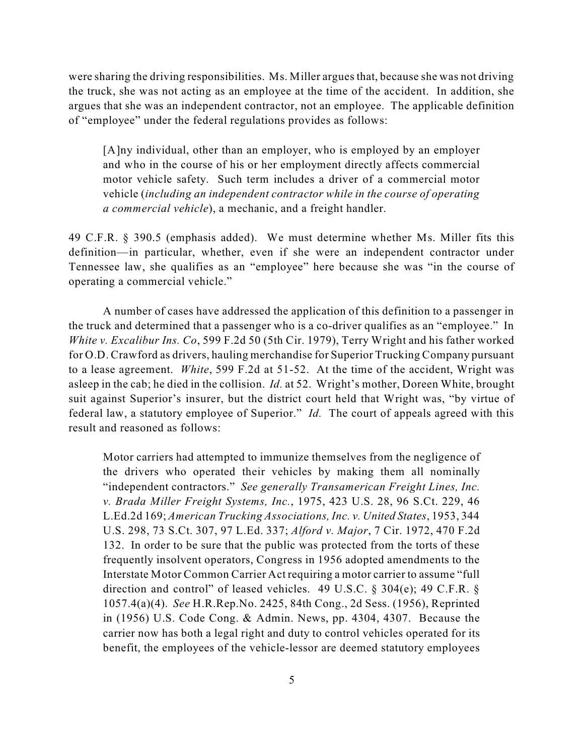were sharing the driving responsibilities. Ms. Miller arguesthat, because she was not driving the truck, she was not acting as an employee at the time of the accident. In addition, she argues that she was an independent contractor, not an employee. The applicable definition of "employee" under the federal regulations provides as follows:

[A]ny individual, other than an employer, who is employed by an employer and who in the course of his or her employment directly affects commercial motor vehicle safety. Such term includes a driver of a commercial motor vehicle (*including an independent contractor while in the course of operating a commercial vehicle*), a mechanic, and a freight handler.

49 C.F.R. § 390.5 (emphasis added). We must determine whether Ms. Miller fits this definition—in particular, whether, even if she were an independent contractor under Tennessee law, she qualifies as an "employee" here because she was "in the course of operating a commercial vehicle."

A number of cases have addressed the application of this definition to a passenger in the truck and determined that a passenger who is a co-driver qualifies as an "employee." In *White v. Excalibur Ins. Co*, 599 F.2d 50 (5th Cir. 1979), Terry Wright and his father worked for O.D. Crawford as drivers, hauling merchandise for Superior Trucking Company pursuant to a lease agreement. *White*, 599 F.2d at 51-52. At the time of the accident, Wright was asleep in the cab; he died in the collision. *Id.* at 52. Wright's mother, Doreen White, brought suit against Superior's insurer, but the district court held that Wright was, "by virtue of federal law, a statutory employee of Superior." *Id.* The court of appeals agreed with this result and reasoned as follows:

Motor carriers had attempted to immunize themselves from the negligence of the drivers who operated their vehicles by making them all nominally "independent contractors." *See generally Transamerican Freight Lines, Inc. v. Brada Miller Freight Systems, Inc.*, 1975, 423 U.S. 28, 96 S.Ct. 229, 46 L.Ed.2d 169; *American Trucking Associations, Inc. v. United States*, 1953, 344 U.S. 298, 73 S.Ct. 307, 97 L.Ed. 337; *Alford v. Major*, 7 Cir. 1972, 470 F.2d 132. In order to be sure that the public was protected from the torts of these frequently insolvent operators, Congress in 1956 adopted amendments to the Interstate Motor Common Carrier Act requiring a motor carrier to assume "full direction and control" of leased vehicles. 49 U.S.C. § 304(e); 49 C.F.R. § 1057.4(a)(4). *See* H.R.Rep.No. 2425, 84th Cong., 2d Sess. (1956), Reprinted in (1956) U.S. Code Cong. & Admin. News, pp. 4304, 4307. Because the carrier now has both a legal right and duty to control vehicles operated for its benefit, the employees of the vehicle-lessor are deemed statutory employees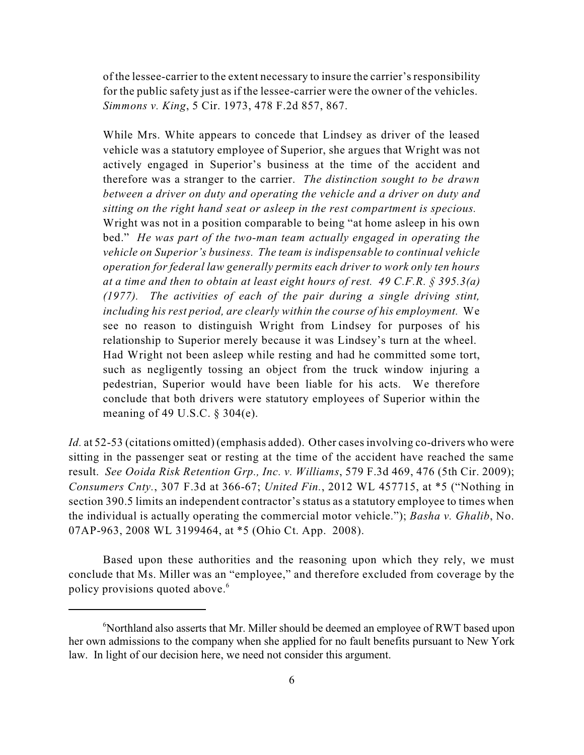of the lessee-carrier to the extent necessary to insure the carrier'sresponsibility for the public safety just as if the lessee-carrier were the owner of the vehicles. *Simmons v. King*, 5 Cir. 1973, 478 F.2d 857, 867.

While Mrs. White appears to concede that Lindsey as driver of the leased vehicle was a statutory employee of Superior, she argues that Wright was not actively engaged in Superior's business at the time of the accident and therefore was a stranger to the carrier. *The distinction sought to be drawn between a driver on duty and operating the vehicle and a driver on duty and sitting on the right hand seat or asleep in the rest compartment is specious.* Wright was not in a position comparable to being "at home asleep in his own bed." *He was part of the two-man team actually engaged in operating the vehicle on Superior's business. The team is indispensable to continual vehicle operation for federal law generally permits each driver to work only ten hours at a time and then to obtain at least eight hours of rest. 49 C.F.R. § 395.3(a) (1977). The activities of each of the pair during a single driving stint, including his rest period, are clearly within the course of his employment.* We see no reason to distinguish Wright from Lindsey for purposes of his relationship to Superior merely because it was Lindsey's turn at the wheel. Had Wright not been asleep while resting and had he committed some tort, such as negligently tossing an object from the truck window injuring a pedestrian, Superior would have been liable for his acts. We therefore conclude that both drivers were statutory employees of Superior within the meaning of 49 U.S.C. § 304(e).

*Id.* at 52-53 (citations omitted) (emphasis added). Other cases involving co-drivers who were sitting in the passenger seat or resting at the time of the accident have reached the same result. *See Ooida Risk Retention Grp., Inc. v. Williams*, 579 F.3d 469, 476 (5th Cir. 2009); *Consumers Cnty.*, 307 F.3d at 366-67; *United Fin.*, 2012 WL 457715, at \*5 ("Nothing in section 390.5 limits an independent contractor's status as a statutory employee to times when the individual is actually operating the commercial motor vehicle."); *Basha v. Ghalib*, No. 07AP-963, 2008 WL 3199464, at \*5 (Ohio Ct. App. 2008).

Based upon these authorities and the reasoning upon which they rely, we must conclude that Ms. Miller was an "employee," and therefore excluded from coverage by the policy provisions quoted above. 6

 $\delta$ Northland also asserts that Mr. Miller should be deemed an employee of RWT based upon her own admissions to the company when she applied for no fault benefits pursuant to New York law. In light of our decision here, we need not consider this argument.